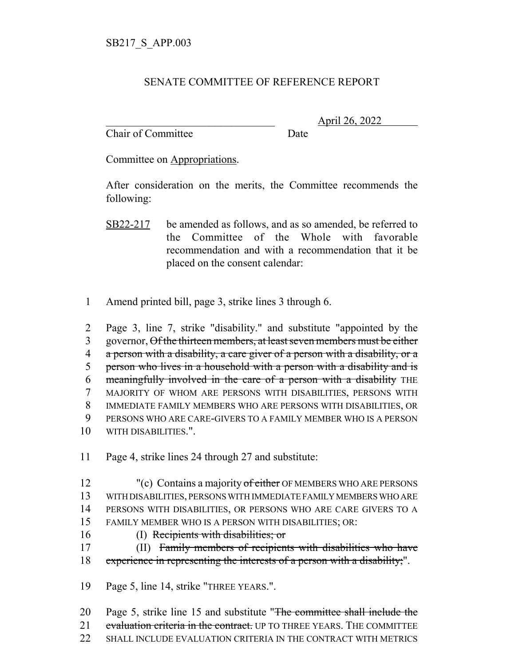## SENATE COMMITTEE OF REFERENCE REPORT

Chair of Committee Date

\_\_\_\_\_\_\_\_\_\_\_\_\_\_\_\_\_\_\_\_\_\_\_\_\_\_\_\_\_\_\_ April 26, 2022

Committee on Appropriations.

After consideration on the merits, the Committee recommends the following:

- SB22-217 be amended as follows, and as so amended, be referred to the Committee of the Whole with favorable recommendation and with a recommendation that it be placed on the consent calendar:
- 1 Amend printed bill, page 3, strike lines 3 through 6.

 Page 3, line 7, strike "disability." and substitute "appointed by the 3 governor, Of the thirteen members, at least seven members must be either 4 a person with a disability, a care giver of a person with a disability, or a person who lives in a household with a person with a disability and is meaningfully involved in the care of a person with a disability THE MAJORITY OF WHOM ARE PERSONS WITH DISABILITIES, PERSONS WITH IMMEDIATE FAMILY MEMBERS WHO ARE PERSONS WITH DISABILITIES, OR PERSONS WHO ARE CARE-GIVERS TO A FAMILY MEMBER WHO IS A PERSON WITH DISABILITIES.".

11 Page 4, strike lines 24 through 27 and substitute:

- 12 "(c) Contains a majority of either OF MEMBERS WHO ARE PERSONS 13 WITH DISABILITIES, PERSONS WITH IMMEDIATE FAMILY MEMBERS WHO ARE 14 PERSONS WITH DISABILITIES, OR PERSONS WHO ARE CARE GIVERS TO A 15 FAMILY MEMBER WHO IS A PERSON WITH DISABILITIES; OR:
- - 16 (I) Recipients with disabilities; or

17 (II) Family members of recipients with disabilities who have 18 experience in representing the interests of a person with a disability;".

19 Page 5, line 14, strike "THREE YEARS.".

20 Page 5, strike line 15 and substitute "The committee shall include the 21 evaluation criteria in the contract. UP TO THREE YEARS. THE COMMITTEE 22 SHALL INCLUDE EVALUATION CRITERIA IN THE CONTRACT WITH METRICS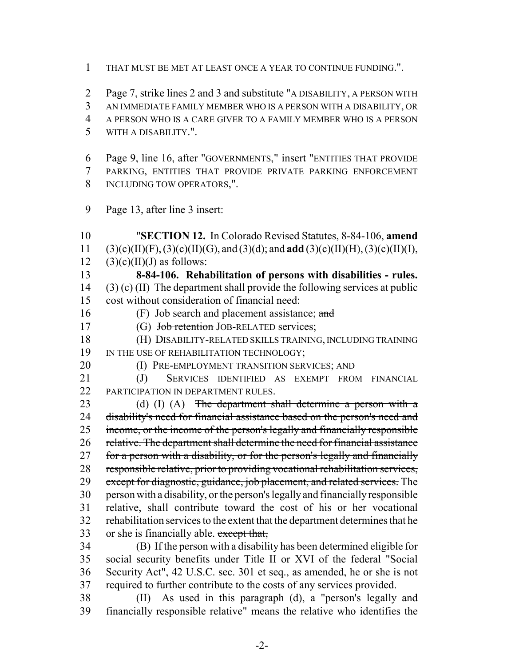THAT MUST BE MET AT LEAST ONCE A YEAR TO CONTINUE FUNDING.".

 Page 7, strike lines 2 and 3 and substitute "A DISABILITY, A PERSON WITH AN IMMEDIATE FAMILY MEMBER WHO IS A PERSON WITH A DISABILITY, OR A PERSON WHO IS A CARE GIVER TO A FAMILY MEMBER WHO IS A PERSON WITH A DISABILITY.".

 Page 9, line 16, after "GOVERNMENTS," insert "ENTITIES THAT PROVIDE PARKING, ENTITIES THAT PROVIDE PRIVATE PARKING ENFORCEMENT INCLUDING TOW OPERATORS,".

Page 13, after line 3 insert:

 "**SECTION 12.** In Colorado Revised Statutes, 8-84-106, **amend** (3)(c)(II)(F), (3)(c)(II)(G), and (3)(d); and **add** (3)(c)(II)(H), (3)(c)(II)(I), 12 (3)(c)(II)(J) as follows: **8-84-106. Rehabilitation of persons with disabilities - rules.** (3) (c) (II) The department shall provide the following services at public cost without consideration of financial need: 16 (F) Job search and placement assistance; and 17 (G) Job retention JOB-RELATED services; (H) DISABILITY-RELATED SKILLS TRAINING, INCLUDING TRAINING 19 IN THE USE OF REHABILITATION TECHNOLOGY; **(I) PRE-EMPLOYMENT TRANSITION SERVICES; AND**  (J) SERVICES IDENTIFIED AS EXEMPT FROM FINANCIAL 22 PARTICIPATION IN DEPARTMENT RULES. 23 (d) (I) (A) The department shall determine a person with a disability's need for financial assistance based on the person's need and 25 income, or the income of the person's legally and financially responsible relative. The department shall determine the need for financial assistance 27 for a person with a disability, or for the person's legally and financially responsible relative, prior to providing vocational rehabilitation services, 29 except for diagnostic, guidance, job placement, and related services. The person with a disability, or the person's legally and financially responsible relative, shall contribute toward the cost of his or her vocational rehabilitation services to the extent that the department determines that he 33 or she is financially able. except that, (B) If the person with a disability has been determined eligible for social security benefits under Title II or XVI of the federal "Social

 Security Act", 42 U.S.C. sec. 301 et seq., as amended, he or she is not required to further contribute to the costs of any services provided. (II) As used in this paragraph (d), a "person's legally and financially responsible relative" means the relative who identifies the